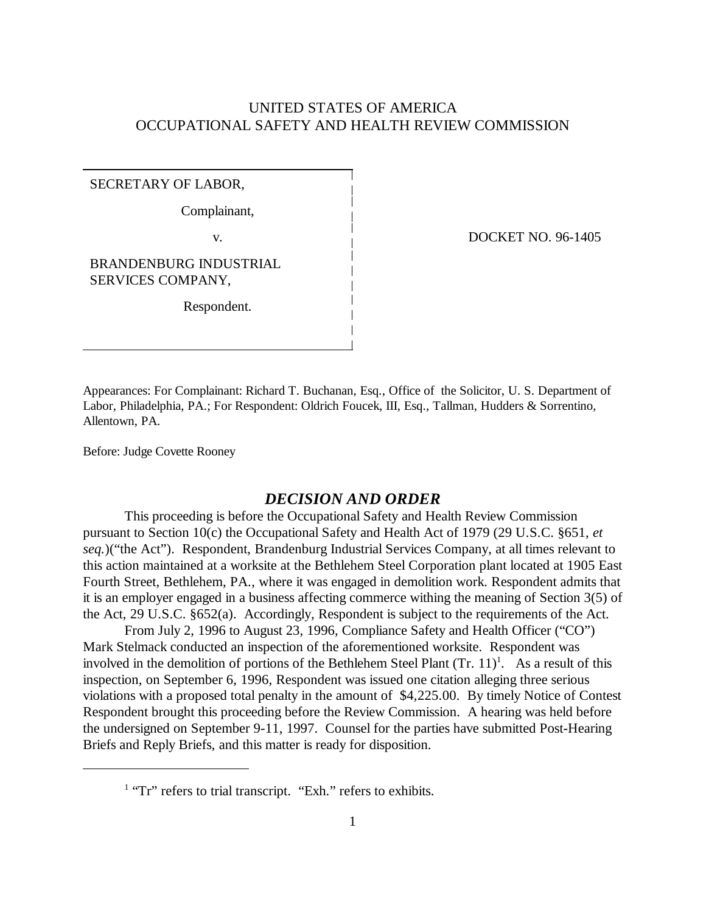# UNITED STATES OF AMERICA OCCUPATIONAL SAFETY AND HEALTH REVIEW COMMISSION

SECRETARY OF LABOR,

Complainant,

BRANDENBURG INDUSTRIAL SERVICES COMPANY,

Respondent.

v. DOCKET NO. 96-1405

Appearances: For Complainant: Richard T. Buchanan, Esq., Office of the Solicitor, U. S. Department of Labor, Philadelphia, PA.; For Respondent: Oldrich Foucek, III, Esq., Tallman, Hudders & Sorrentino, Allentown, PA.

Before: Judge Covette Rooney

#### *DECISION AND ORDER*

This proceeding is before the Occupational Safety and Health Review Commission pursuant to Section 10(c) the Occupational Safety and Health Act of 1979 (29 U.S.C. §651, *et seq.*)("the Act"). Respondent, Brandenburg Industrial Services Company, at all times relevant to this action maintained at a worksite at the Bethlehem Steel Corporation plant located at 1905 East Fourth Street, Bethlehem, PA., where it was engaged in demolition work. Respondent admits that it is an employer engaged in a business affecting commerce withing the meaning of Section 3(5) of the Act, 29 U.S.C. §652(a). Accordingly, Respondent is subject to the requirements of the Act.

From July 2, 1996 to August 23, 1996, Compliance Safety and Health Officer ("CO") Mark Stelmack conducted an inspection of the aforementioned worksite. Respondent was involved in the demolition of portions of the Bethlehem Steel Plant  $(Tr. 11)^1$ . As a result of this inspection, on September 6, 1996, Respondent was issued one citation alleging three serious violations with a proposed total penalty in the amount of \$4,225.00. By timely Notice of Contest Respondent brought this proceeding before the Review Commission. A hearing was held before the undersigned on September 9-11, 1997. Counsel for the parties have submitted Post-Hearing Briefs and Reply Briefs, and this matter is ready for disposition.

<sup>&</sup>lt;sup>1</sup> "Tr" refers to trial transcript. "Exh." refers to exhibits.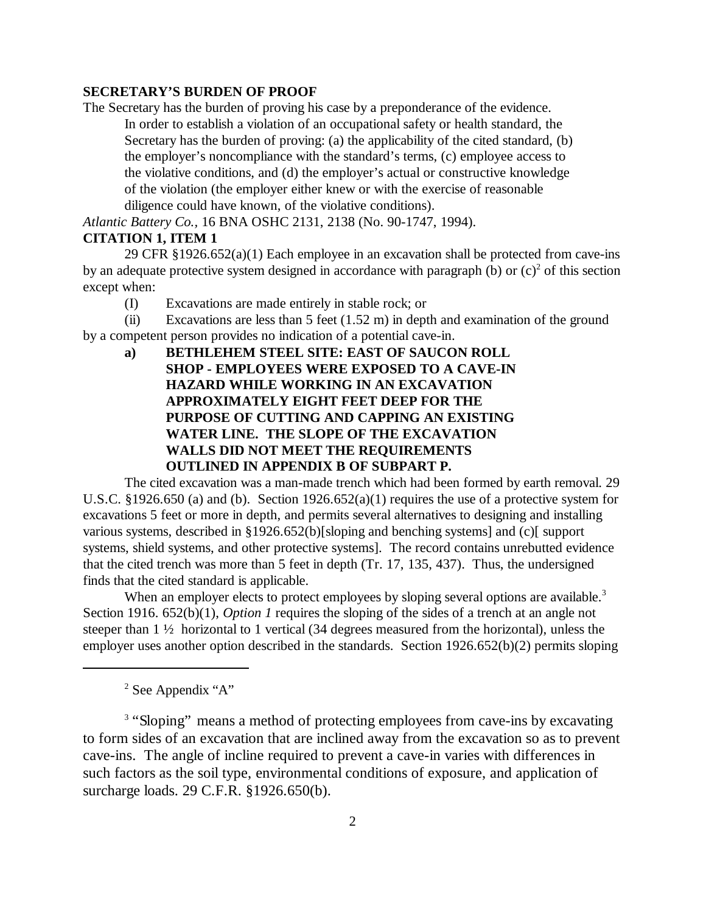#### **SECRETARY'S BURDEN OF PROOF**

The Secretary has the burden of proving his case by a preponderance of the evidence.

In order to establish a violation of an occupational safety or health standard, the Secretary has the burden of proving: (a) the applicability of the cited standard, (b) the employer's noncompliance with the standard's terms, (c) employee access to the violative conditions, and (d) the employer's actual or constructive knowledge of the violation (the employer either knew or with the exercise of reasonable diligence could have known, of the violative conditions).

*Atlantic Battery Co.,* 16 BNA OSHC 2131, 2138 (No. 90-1747, 1994).

# **CITATION 1, ITEM 1**

29 CFR §1926.652(a)(1) Each employee in an excavation shall be protected from cave-ins by an adequate protective system designed in accordance with paragraph (b) or  $(c)^2$  of this section except when:

(I) Excavations are made entirely in stable rock; or

(ii) Excavations are less than 5 feet  $(1.52 \text{ m})$  in depth and examination of the ground by a competent person provides no indication of a potential cave-in.

**a) BETHLEHEM STEEL SITE: EAST OF SAUCON ROLL SHOP - EMPLOYEES WERE EXPOSED TO A CAVE-IN HAZARD WHILE WORKING IN AN EXCAVATION APPROXIMATELY EIGHT FEET DEEP FOR THE PURPOSE OF CUTTING AND CAPPING AN EXISTING WATER LINE. THE SLOPE OF THE EXCAVATION WALLS DID NOT MEET THE REQUIREMENTS OUTLINED IN APPENDIX B OF SUBPART P.**

The cited excavation was a man-made trench which had been formed by earth removal. 29 U.S.C. §1926.650 (a) and (b). Section 1926.652(a)(1) requires the use of a protective system for excavations 5 feet or more in depth, and permits several alternatives to designing and installing various systems, described in §1926.652(b)[sloping and benching systems] and (c)[ support systems, shield systems, and other protective systems]. The record contains unrebutted evidence that the cited trench was more than 5 feet in depth (Tr. 17, 135, 437). Thus, the undersigned finds that the cited standard is applicable.

When an employer elects to protect employees by sloping several options are available.<sup>3</sup> Section 1916. 652(b)(1), *Option 1* requires the sloping of the sides of a trench at an angle not steeper than 1 ½ horizontal to 1 vertical (34 degrees measured from the horizontal), unless the employer uses another option described in the standards. Section 1926.652(b)(2) permits sloping

<sup>3</sup> "Sloping" means a method of protecting employees from cave-ins by excavating to form sides of an excavation that are inclined away from the excavation so as to prevent cave-ins. The angle of incline required to prevent a cave-in varies with differences in such factors as the soil type, environmental conditions of exposure, and application of surcharge loads. 29 C.F.R. §1926.650(b).

 $2$  See Appendix "A"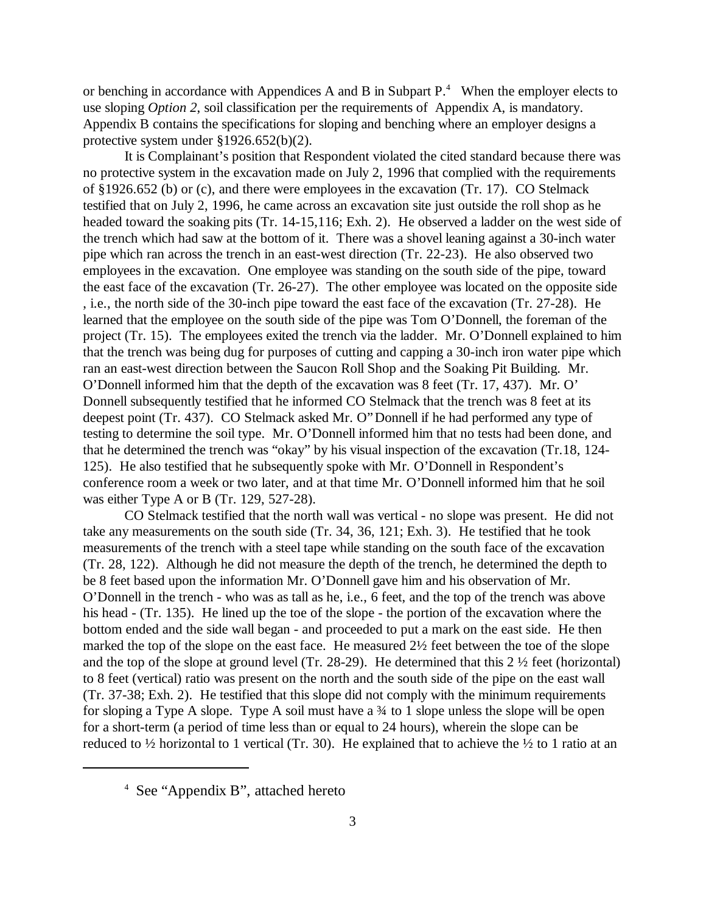or benching in accordance with Appendices A and B in Subpart  $P^4$ . When the employer elects to use sloping *Option 2*, soil classification per the requirements of Appendix A, is mandatory. Appendix B contains the specifications for sloping and benching where an employer designs a protective system under §1926.652(b)(2).

It is Complainant's position that Respondent violated the cited standard because there was no protective system in the excavation made on July 2, 1996 that complied with the requirements of §1926.652 (b) or (c), and there were employees in the excavation (Tr. 17). CO Stelmack testified that on July 2, 1996, he came across an excavation site just outside the roll shop as he headed toward the soaking pits (Tr. 14-15,116; Exh. 2). He observed a ladder on the west side of the trench which had saw at the bottom of it. There was a shovel leaning against a 30-inch water pipe which ran across the trench in an east-west direction (Tr. 22-23). He also observed two employees in the excavation. One employee was standing on the south side of the pipe, toward the east face of the excavation (Tr. 26-27). The other employee was located on the opposite side , i.e., the north side of the 30-inch pipe toward the east face of the excavation (Tr. 27-28). He learned that the employee on the south side of the pipe was Tom O'Donnell, the foreman of the project (Tr. 15). The employees exited the trench via the ladder. Mr. O'Donnell explained to him that the trench was being dug for purposes of cutting and capping a 30-inch iron water pipe which ran an east-west direction between the Saucon Roll Shop and the Soaking Pit Building. Mr. O'Donnell informed him that the depth of the excavation was 8 feet (Tr. 17, 437). Mr. O' Donnell subsequently testified that he informed CO Stelmack that the trench was 8 feet at its deepest point (Tr. 437). CO Stelmack asked Mr. O"Donnell if he had performed any type of testing to determine the soil type. Mr. O'Donnell informed him that no tests had been done, and that he determined the trench was "okay" by his visual inspection of the excavation (Tr.18, 124- 125). He also testified that he subsequently spoke with Mr. O'Donnell in Respondent's conference room a week or two later, and at that time Mr. O'Donnell informed him that he soil was either Type A or B (Tr. 129, 527-28).

CO Stelmack testified that the north wall was vertical - no slope was present. He did not take any measurements on the south side (Tr. 34, 36, 121; Exh. 3). He testified that he took measurements of the trench with a steel tape while standing on the south face of the excavation (Tr. 28, 122). Although he did not measure the depth of the trench, he determined the depth to be 8 feet based upon the information Mr. O'Donnell gave him and his observation of Mr. O'Donnell in the trench - who was as tall as he, i.e., 6 feet, and the top of the trench was above his head - (Tr. 135). He lined up the toe of the slope - the portion of the excavation where the bottom ended and the side wall began - and proceeded to put a mark on the east side. He then marked the top of the slope on the east face. He measured 2½ feet between the toe of the slope and the top of the slope at ground level (Tr. 28-29). He determined that this 2 ½ feet (horizontal) to 8 feet (vertical) ratio was present on the north and the south side of the pipe on the east wall (Tr. 37-38; Exh. 2). He testified that this slope did not comply with the minimum requirements for sloping a Type A slope. Type A soil must have a  $\frac{3}{4}$  to 1 slope unless the slope will be open for a short-term (a period of time less than or equal to 24 hours), wherein the slope can be reduced to  $\frac{1}{2}$  horizontal to 1 vertical (Tr. 30). He explained that to achieve the  $\frac{1}{2}$  to 1 ratio at an

<sup>4</sup> See "Appendix B", attached hereto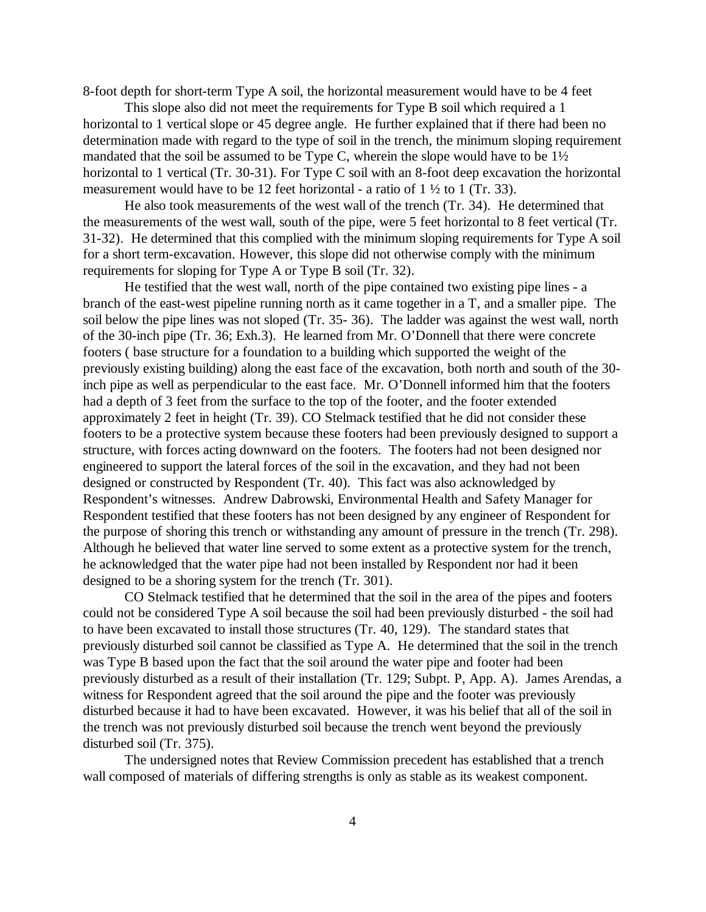8-foot depth for short-term Type A soil, the horizontal measurement would have to be 4 feet

This slope also did not meet the requirements for Type B soil which required a 1 horizontal to 1 vertical slope or 45 degree angle. He further explained that if there had been no determination made with regard to the type of soil in the trench, the minimum sloping requirement mandated that the soil be assumed to be Type C, wherein the slope would have to be 1½ horizontal to 1 vertical (Tr. 30-31). For Type C soil with an 8-foot deep excavation the horizontal measurement would have to be 12 feet horizontal - a ratio of 1 ½ to 1 (Tr. 33).

He also took measurements of the west wall of the trench (Tr. 34). He determined that the measurements of the west wall, south of the pipe, were 5 feet horizontal to 8 feet vertical (Tr. 31-32). He determined that this complied with the minimum sloping requirements for Type A soil for a short term-excavation. However, this slope did not otherwise comply with the minimum requirements for sloping for Type A or Type B soil (Tr. 32).

He testified that the west wall, north of the pipe contained two existing pipe lines - a branch of the east-west pipeline running north as it came together in a T, and a smaller pipe. The soil below the pipe lines was not sloped (Tr. 35- 36). The ladder was against the west wall, north of the 30-inch pipe (Tr. 36; Exh.3). He learned from Mr. O'Donnell that there were concrete footers ( base structure for a foundation to a building which supported the weight of the previously existing building) along the east face of the excavation, both north and south of the 30 inch pipe as well as perpendicular to the east face. Mr. O'Donnell informed him that the footers had a depth of 3 feet from the surface to the top of the footer, and the footer extended approximately 2 feet in height (Tr. 39). CO Stelmack testified that he did not consider these footers to be a protective system because these footers had been previously designed to support a structure, with forces acting downward on the footers. The footers had not been designed nor engineered to support the lateral forces of the soil in the excavation, and they had not been designed or constructed by Respondent (Tr. 40). This fact was also acknowledged by Respondent's witnesses. Andrew Dabrowski, Environmental Health and Safety Manager for Respondent testified that these footers has not been designed by any engineer of Respondent for the purpose of shoring this trench or withstanding any amount of pressure in the trench (Tr. 298). Although he believed that water line served to some extent as a protective system for the trench, he acknowledged that the water pipe had not been installed by Respondent nor had it been designed to be a shoring system for the trench (Tr. 301).

CO Stelmack testified that he determined that the soil in the area of the pipes and footers could not be considered Type A soil because the soil had been previously disturbed - the soil had to have been excavated to install those structures (Tr. 40, 129). The standard states that previously disturbed soil cannot be classified as Type A. He determined that the soil in the trench was Type B based upon the fact that the soil around the water pipe and footer had been previously disturbed as a result of their installation (Tr. 129; Subpt. P, App. A). James Arendas, a witness for Respondent agreed that the soil around the pipe and the footer was previously disturbed because it had to have been excavated. However, it was his belief that all of the soil in the trench was not previously disturbed soil because the trench went beyond the previously disturbed soil (Tr. 375).

The undersigned notes that Review Commission precedent has established that a trench wall composed of materials of differing strengths is only as stable as its weakest component.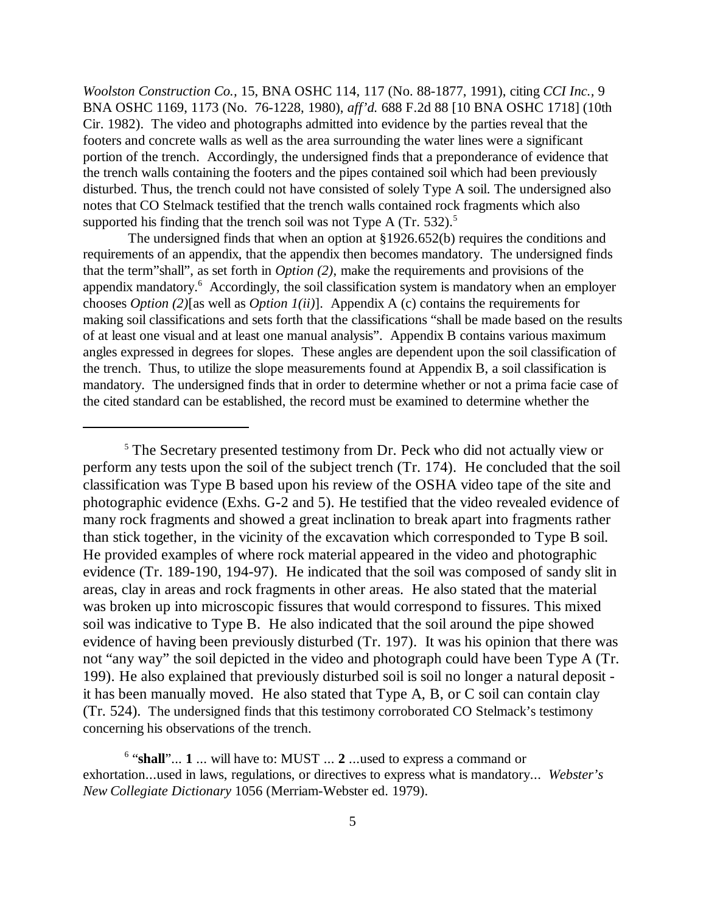*Woolston Construction Co.,* 15, BNA OSHC 114, 117 (No. 88-1877, 1991), citing *CCI Inc.,* 9 BNA OSHC 1169, 1173 (No. 76-1228, 1980), *aff'd.* 688 F.2d 88 [10 BNA OSHC 1718] (10th Cir. 1982). The video and photographs admitted into evidence by the parties reveal that the footers and concrete walls as well as the area surrounding the water lines were a significant portion of the trench. Accordingly, the undersigned finds that a preponderance of evidence that the trench walls containing the footers and the pipes contained soil which had been previously disturbed. Thus, the trench could not have consisted of solely Type A soil. The undersigned also notes that CO Stelmack testified that the trench walls contained rock fragments which also supported his finding that the trench soil was not Type A  $(Tr. 532)^5$ 

 The undersigned finds that when an option at §1926.652(b) requires the conditions and requirements of an appendix, that the appendix then becomes mandatory. The undersigned finds that the term"shall", as set forth in *Option (2)*, make the requirements and provisions of the appendix mandatory.<sup>6</sup> Accordingly, the soil classification system is mandatory when an employer chooses *Option (2)*[as well as *Option 1(ii)*]. Appendix A (c) contains the requirements for making soil classifications and sets forth that the classifications "shall be made based on the results of at least one visual and at least one manual analysis". Appendix B contains various maximum angles expressed in degrees for slopes. These angles are dependent upon the soil classification of the trench. Thus, to utilize the slope measurements found at Appendix B, a soil classification is mandatory. The undersigned finds that in order to determine whether or not a prima facie case of the cited standard can be established, the record must be examined to determine whether the

<sup>&</sup>lt;sup>5</sup> The Secretary presented testimony from Dr. Peck who did not actually view or perform any tests upon the soil of the subject trench (Tr. 174). He concluded that the soil classification was Type B based upon his review of the OSHA video tape of the site and photographic evidence (Exhs. G-2 and 5). He testified that the video revealed evidence of many rock fragments and showed a great inclination to break apart into fragments rather than stick together, in the vicinity of the excavation which corresponded to Type B soil. He provided examples of where rock material appeared in the video and photographic evidence (Tr. 189-190, 194-97). He indicated that the soil was composed of sandy slit in areas, clay in areas and rock fragments in other areas. He also stated that the material was broken up into microscopic fissures that would correspond to fissures. This mixed soil was indicative to Type B. He also indicated that the soil around the pipe showed evidence of having been previously disturbed (Tr. 197). It was his opinion that there was not "any way" the soil depicted in the video and photograph could have been Type A (Tr. 199). He also explained that previously disturbed soil is soil no longer a natural deposit it has been manually moved. He also stated that Type A, B, or C soil can contain clay (Tr. 524). The undersigned finds that this testimony corroborated CO Stelmack's testimony concerning his observations of the trench.

<sup>6</sup> "**shall**"... **1** ... will have to: MUST ... **2** ...used to express a command or exhortation...used in laws, regulations, or directives to express what is mandatory... *Webster's New Collegiate Dictionary* 1056 (Merriam-Webster ed. 1979).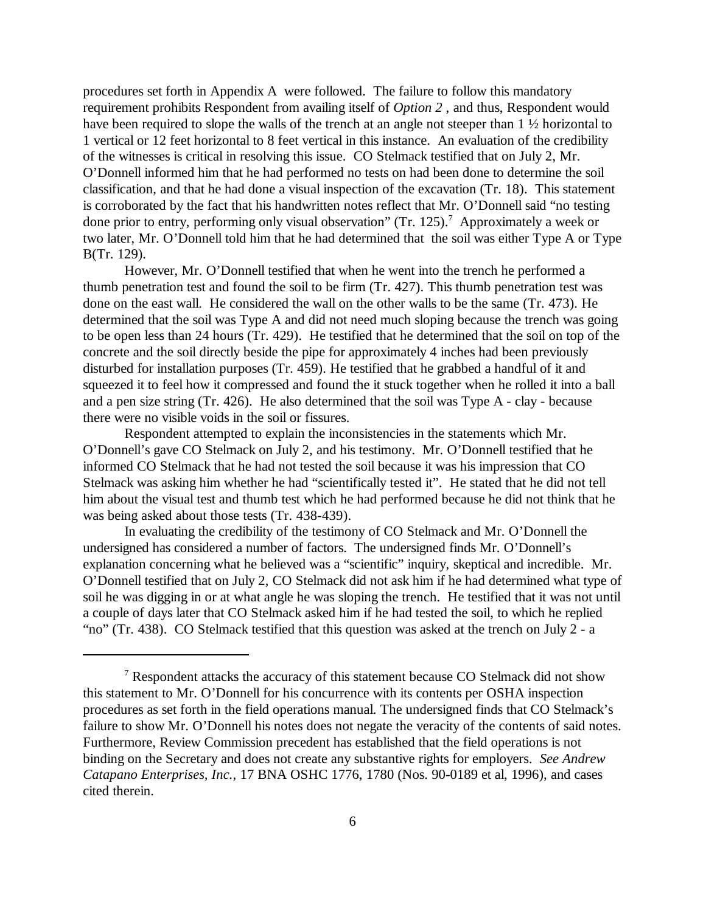procedures set forth in Appendix A were followed. The failure to follow this mandatory requirement prohibits Respondent from availing itself of *Option 2* , and thus, Respondent would have been required to slope the walls of the trench at an angle not steeper than 1 ½ horizontal to 1 vertical or 12 feet horizontal to 8 feet vertical in this instance. An evaluation of the credibility of the witnesses is critical in resolving this issue. CO Stelmack testified that on July 2, Mr. O'Donnell informed him that he had performed no tests on had been done to determine the soil classification, and that he had done a visual inspection of the excavation (Tr. 18). This statement is corroborated by the fact that his handwritten notes reflect that Mr. O'Donnell said "no testing done prior to entry, performing only visual observation" (Tr. 125).<sup>7</sup> Approximately a week or two later, Mr. O'Donnell told him that he had determined that the soil was either Type A or Type B(Tr. 129).

However, Mr. O'Donnell testified that when he went into the trench he performed a thumb penetration test and found the soil to be firm (Tr. 427). This thumb penetration test was done on the east wall. He considered the wall on the other walls to be the same (Tr. 473). He determined that the soil was Type A and did not need much sloping because the trench was going to be open less than 24 hours (Tr. 429). He testified that he determined that the soil on top of the concrete and the soil directly beside the pipe for approximately 4 inches had been previously disturbed for installation purposes (Tr. 459). He testified that he grabbed a handful of it and squeezed it to feel how it compressed and found the it stuck together when he rolled it into a ball and a pen size string (Tr. 426). He also determined that the soil was Type A - clay - because there were no visible voids in the soil or fissures.

Respondent attempted to explain the inconsistencies in the statements which Mr. O'Donnell's gave CO Stelmack on July 2, and his testimony. Mr. O'Donnell testified that he informed CO Stelmack that he had not tested the soil because it was his impression that CO Stelmack was asking him whether he had "scientifically tested it". He stated that he did not tell him about the visual test and thumb test which he had performed because he did not think that he was being asked about those tests (Tr. 438-439).

In evaluating the credibility of the testimony of CO Stelmack and Mr. O'Donnell the undersigned has considered a number of factors. The undersigned finds Mr. O'Donnell's explanation concerning what he believed was a "scientific" inquiry, skeptical and incredible. Mr. O'Donnell testified that on July 2, CO Stelmack did not ask him if he had determined what type of soil he was digging in or at what angle he was sloping the trench. He testified that it was not until a couple of days later that CO Stelmack asked him if he had tested the soil, to which he replied "no" (Tr. 438). CO Stelmack testified that this question was asked at the trench on July 2 - a

<sup>&</sup>lt;sup>7</sup> Respondent attacks the accuracy of this statement because CO Stelmack did not show this statement to Mr. O'Donnell for his concurrence with its contents per OSHA inspection procedures as set forth in the field operations manual. The undersigned finds that CO Stelmack's failure to show Mr. O'Donnell his notes does not negate the veracity of the contents of said notes. Furthermore, Review Commission precedent has established that the field operations is not binding on the Secretary and does not create any substantive rights for employers. *See Andrew Catapano Enterprises, Inc.*, 17 BNA OSHC 1776, 1780 (Nos. 90-0189 et al, 1996), and cases cited therein.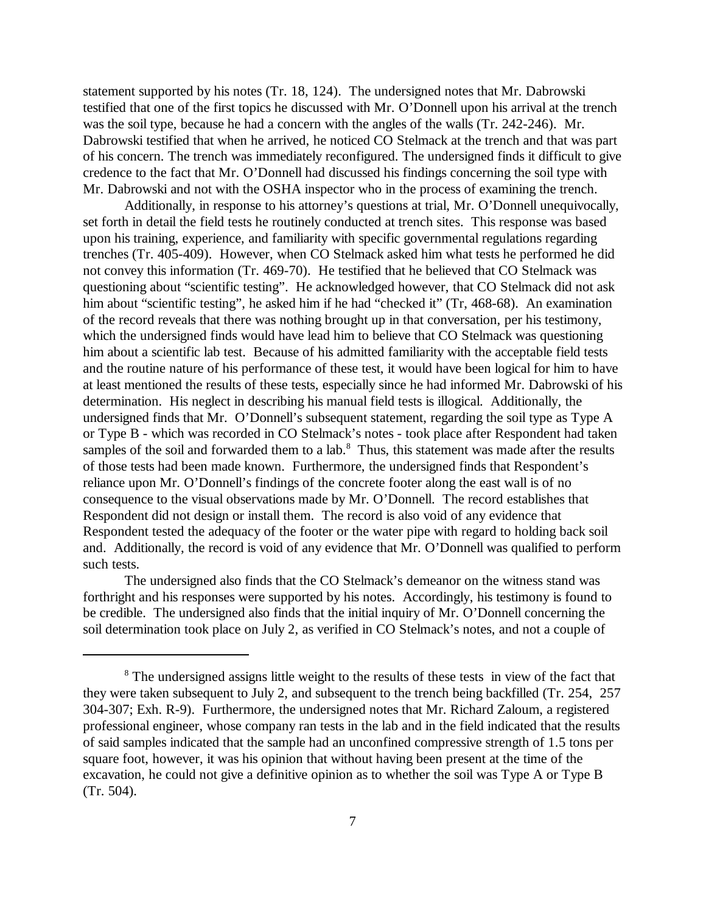statement supported by his notes (Tr. 18, 124). The undersigned notes that Mr. Dabrowski testified that one of the first topics he discussed with Mr. O'Donnell upon his arrival at the trench was the soil type, because he had a concern with the angles of the walls (Tr. 242-246). Mr. Dabrowski testified that when he arrived, he noticed CO Stelmack at the trench and that was part of his concern. The trench was immediately reconfigured. The undersigned finds it difficult to give credence to the fact that Mr. O'Donnell had discussed his findings concerning the soil type with Mr. Dabrowski and not with the OSHA inspector who in the process of examining the trench.

Additionally, in response to his attorney's questions at trial, Mr. O'Donnell unequivocally, set forth in detail the field tests he routinely conducted at trench sites. This response was based upon his training, experience, and familiarity with specific governmental regulations regarding trenches (Tr. 405-409). However, when CO Stelmack asked him what tests he performed he did not convey this information (Tr. 469-70). He testified that he believed that CO Stelmack was questioning about "scientific testing". He acknowledged however, that CO Stelmack did not ask him about "scientific testing", he asked him if he had "checked it" (Tr, 468-68). An examination of the record reveals that there was nothing brought up in that conversation, per his testimony, which the undersigned finds would have lead him to believe that CO Stelmack was questioning him about a scientific lab test. Because of his admitted familiarity with the acceptable field tests and the routine nature of his performance of these test, it would have been logical for him to have at least mentioned the results of these tests, especially since he had informed Mr. Dabrowski of his determination. His neglect in describing his manual field tests is illogical. Additionally, the undersigned finds that Mr. O'Donnell's subsequent statement, regarding the soil type as Type A or Type B - which was recorded in CO Stelmack's notes - took place after Respondent had taken samples of the soil and forwarded them to a lab.<sup>8</sup> Thus, this statement was made after the results of those tests had been made known. Furthermore, the undersigned finds that Respondent's reliance upon Mr. O'Donnell's findings of the concrete footer along the east wall is of no consequence to the visual observations made by Mr. O'Donnell. The record establishes that Respondent did not design or install them. The record is also void of any evidence that Respondent tested the adequacy of the footer or the water pipe with regard to holding back soil and. Additionally, the record is void of any evidence that Mr. O'Donnell was qualified to perform such tests.

The undersigned also finds that the CO Stelmack's demeanor on the witness stand was forthright and his responses were supported by his notes. Accordingly, his testimony is found to be credible. The undersigned also finds that the initial inquiry of Mr. O'Donnell concerning the soil determination took place on July 2, as verified in CO Stelmack's notes, and not a couple of

<sup>&</sup>lt;sup>8</sup> The undersigned assigns little weight to the results of these tests in view of the fact that they were taken subsequent to July 2, and subsequent to the trench being backfilled (Tr. 254, 257 304-307; Exh. R-9). Furthermore, the undersigned notes that Mr. Richard Zaloum, a registered professional engineer, whose company ran tests in the lab and in the field indicated that the results of said samples indicated that the sample had an unconfined compressive strength of 1.5 tons per square foot, however, it was his opinion that without having been present at the time of the excavation, he could not give a definitive opinion as to whether the soil was Type A or Type B (Tr. 504).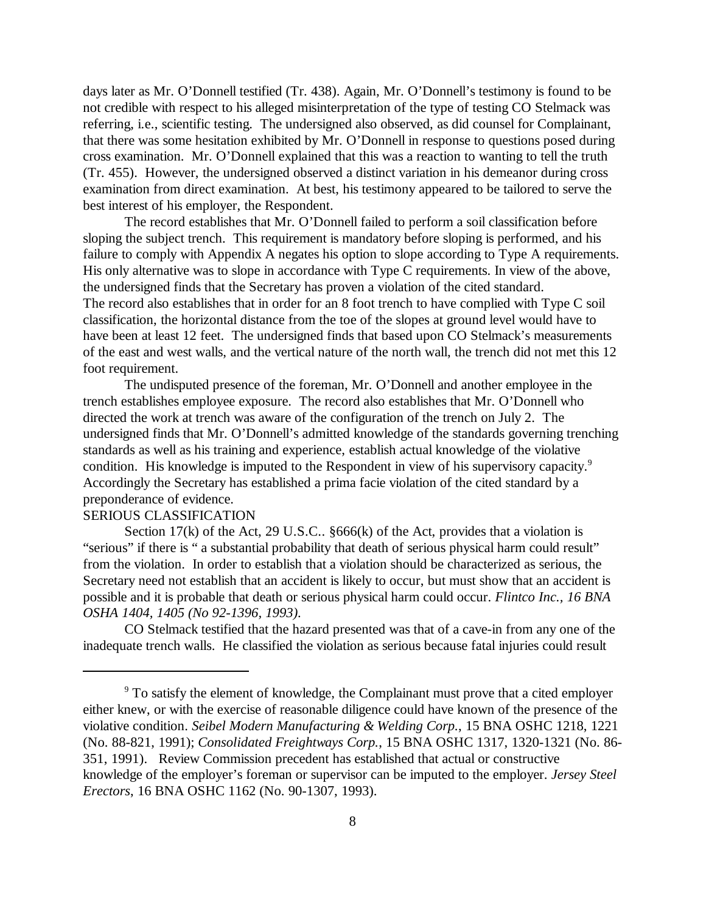days later as Mr. O'Donnell testified (Tr. 438). Again, Mr. O'Donnell's testimony is found to be not credible with respect to his alleged misinterpretation of the type of testing CO Stelmack was referring, i.e., scientific testing. The undersigned also observed, as did counsel for Complainant, that there was some hesitation exhibited by Mr. O'Donnell in response to questions posed during cross examination. Mr. O'Donnell explained that this was a reaction to wanting to tell the truth (Tr. 455). However, the undersigned observed a distinct variation in his demeanor during cross examination from direct examination. At best, his testimony appeared to be tailored to serve the best interest of his employer, the Respondent.

The record establishes that Mr. O'Donnell failed to perform a soil classification before sloping the subject trench. This requirement is mandatory before sloping is performed, and his failure to comply with Appendix A negates his option to slope according to Type A requirements. His only alternative was to slope in accordance with Type C requirements. In view of the above, the undersigned finds that the Secretary has proven a violation of the cited standard. The record also establishes that in order for an 8 foot trench to have complied with Type C soil classification, the horizontal distance from the toe of the slopes at ground level would have to have been at least 12 feet. The undersigned finds that based upon CO Stelmack's measurements of the east and west walls, and the vertical nature of the north wall, the trench did not met this 12 foot requirement.

The undisputed presence of the foreman, Mr. O'Donnell and another employee in the trench establishes employee exposure. The record also establishes that Mr. O'Donnell who directed the work at trench was aware of the configuration of the trench on July 2. The undersigned finds that Mr. O'Donnell's admitted knowledge of the standards governing trenching standards as well as his training and experience, establish actual knowledge of the violative condition. His knowledge is imputed to the Respondent in view of his supervisory capacity.<sup>9</sup> Accordingly the Secretary has established a prima facie violation of the cited standard by a preponderance of evidence.

#### SERIOUS CLASSIFICATION

Section  $17(k)$  of the Act, 29 U.S.C.. §666 $(k)$  of the Act, provides that a violation is "serious" if there is " a substantial probability that death of serious physical harm could result" from the violation. In order to establish that a violation should be characterized as serious, the Secretary need not establish that an accident is likely to occur, but must show that an accident is possible and it is probable that death or serious physical harm could occur. *Flintco Inc., 16 BNA OSHA 1404, 1405 (No 92-1396, 1993).* 

CO Stelmack testified that the hazard presented was that of a cave-in from any one of the inadequate trench walls. He classified the violation as serious because fatal injuries could result

<sup>&</sup>lt;sup>9</sup> To satisfy the element of knowledge, the Complainant must prove that a cited employer either knew, or with the exercise of reasonable diligence could have known of the presence of the violative condition. *Seibel Modern Manufacturing & Welding Corp.*, 15 BNA OSHC 1218, 1221 (No. 88-821, 1991); *Consolidated Freightways Corp.*, 15 BNA OSHC 1317, 1320-1321 (No. 86- 351, 1991). Review Commission precedent has established that actual or constructive knowledge of the employer's foreman or supervisor can be imputed to the employer. *Jersey Steel Erectors*, 16 BNA OSHC 1162 (No. 90-1307, 1993).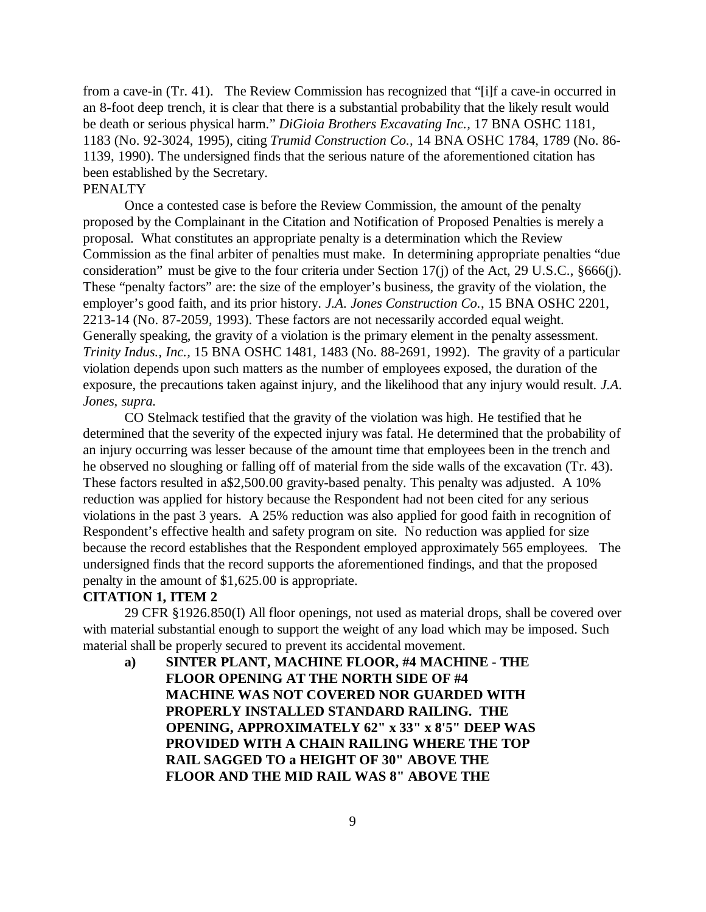from a cave-in (Tr. 41). The Review Commission has recognized that "[i]f a cave-in occurred in an 8-foot deep trench, it is clear that there is a substantial probability that the likely result would be death or serious physical harm." *DiGioia Brothers Excavating Inc.,* 17 BNA OSHC 1181, 1183 (No. 92-3024, 1995), citing *Trumid Construction Co.,* 14 BNA OSHC 1784, 1789 (No. 86- 1139, 1990). The undersigned finds that the serious nature of the aforementioned citation has been established by the Secretary.

## **PENALTY**

Once a contested case is before the Review Commission, the amount of the penalty proposed by the Complainant in the Citation and Notification of Proposed Penalties is merely a proposal. What constitutes an appropriate penalty is a determination which the Review Commission as the final arbiter of penalties must make.In determining appropriate penalties "due consideration" must be give to the four criteria under Section 17(j) of the Act, 29 U.S.C., §666(j). These "penalty factors" are: the size of the employer's business, the gravity of the violation, the employer's good faith, and its prior history. *J.A. Jones Construction Co.*, 15 BNA OSHC 2201, 2213-14 (No. 87-2059, 1993). These factors are not necessarily accorded equal weight. Generally speaking, the gravity of a violation is the primary element in the penalty assessment. *Trinity Indus., Inc.,* 15 BNA OSHC 1481, 1483 (No. 88-2691, 1992). The gravity of a particular violation depends upon such matters as the number of employees exposed, the duration of the exposure, the precautions taken against injury, and the likelihood that any injury would result. *J.A. Jones, supra.*

CO Stelmack testified that the gravity of the violation was high. He testified that he determined that the severity of the expected injury was fatal. He determined that the probability of an injury occurring was lesser because of the amount time that employees been in the trench and he observed no sloughing or falling off of material from the side walls of the excavation (Tr. 43). These factors resulted in a\$2,500.00 gravity-based penalty. This penalty was adjusted. A 10% reduction was applied for history because the Respondent had not been cited for any serious violations in the past 3 years. A 25% reduction was also applied for good faith in recognition of Respondent's effective health and safety program on site. No reduction was applied for size because the record establishes that the Respondent employed approximately 565 employees. The undersigned finds that the record supports the aforementioned findings, and that the proposed penalty in the amount of \$1,625.00 is appropriate.

### **CITATION 1, ITEM 2**

29 CFR §1926.850(I) All floor openings, not used as material drops, shall be covered over with material substantial enough to support the weight of any load which may be imposed. Such material shall be properly secured to prevent its accidental movement.

**a) SINTER PLANT, MACHINE FLOOR, #4 MACHINE - THE FLOOR OPENING AT THE NORTH SIDE OF #4 MACHINE WAS NOT COVERED NOR GUARDED WITH PROPERLY INSTALLED STANDARD RAILING. THE OPENING, APPROXIMATELY 62" x 33" x 8'5" DEEP WAS PROVIDED WITH A CHAIN RAILING WHERE THE TOP RAIL SAGGED TO a HEIGHT OF 30" ABOVE THE FLOOR AND THE MID RAIL WAS 8" ABOVE THE**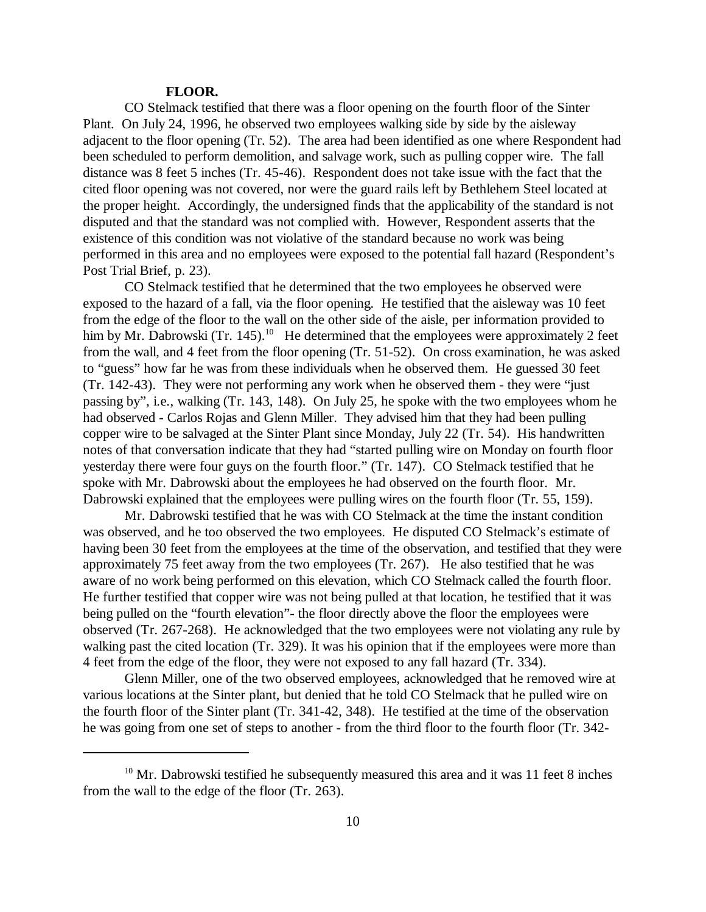#### **FLOOR.**

CO Stelmack testified that there was a floor opening on the fourth floor of the Sinter Plant. On July 24, 1996, he observed two employees walking side by side by the aisleway adjacent to the floor opening (Tr. 52). The area had been identified as one where Respondent had been scheduled to perform demolition, and salvage work, such as pulling copper wire. The fall distance was 8 feet 5 inches (Tr. 45-46). Respondent does not take issue with the fact that the cited floor opening was not covered, nor were the guard rails left by Bethlehem Steel located at the proper height. Accordingly, the undersigned finds that the applicability of the standard is not disputed and that the standard was not complied with. However, Respondent asserts that the existence of this condition was not violative of the standard because no work was being performed in this area and no employees were exposed to the potential fall hazard (Respondent's Post Trial Brief, p. 23).

CO Stelmack testified that he determined that the two employees he observed were exposed to the hazard of a fall, via the floor opening. He testified that the aisleway was 10 feet from the edge of the floor to the wall on the other side of the aisle, per information provided to him by Mr. Dabrowski (Tr. 145).<sup>10</sup> He determined that the employees were approximately 2 feet from the wall, and 4 feet from the floor opening (Tr. 51-52). On cross examination, he was asked to "guess" how far he was from these individuals when he observed them. He guessed 30 feet (Tr. 142-43). They were not performing any work when he observed them - they were "just passing by", i.e., walking (Tr. 143, 148). On July 25, he spoke with the two employees whom he had observed - Carlos Rojas and Glenn Miller. They advised him that they had been pulling copper wire to be salvaged at the Sinter Plant since Monday, July 22 (Tr. 54). His handwritten notes of that conversation indicate that they had "started pulling wire on Monday on fourth floor yesterday there were four guys on the fourth floor." (Tr. 147). CO Stelmack testified that he spoke with Mr. Dabrowski about the employees he had observed on the fourth floor. Mr. Dabrowski explained that the employees were pulling wires on the fourth floor (Tr. 55, 159).

Mr. Dabrowski testified that he was with CO Stelmack at the time the instant condition was observed, and he too observed the two employees. He disputed CO Stelmack's estimate of having been 30 feet from the employees at the time of the observation, and testified that they were approximately 75 feet away from the two employees (Tr. 267). He also testified that he was aware of no work being performed on this elevation, which CO Stelmack called the fourth floor. He further testified that copper wire was not being pulled at that location, he testified that it was being pulled on the "fourth elevation"- the floor directly above the floor the employees were observed (Tr. 267-268). He acknowledged that the two employees were not violating any rule by walking past the cited location (Tr. 329). It was his opinion that if the employees were more than 4 feet from the edge of the floor, they were not exposed to any fall hazard (Tr. 334).

Glenn Miller, one of the two observed employees, acknowledged that he removed wire at various locations at the Sinter plant, but denied that he told CO Stelmack that he pulled wire on the fourth floor of the Sinter plant (Tr. 341-42, 348). He testified at the time of the observation he was going from one set of steps to another - from the third floor to the fourth floor (Tr. 342-

 $10$  Mr. Dabrowski testified he subsequently measured this area and it was 11 feet 8 inches from the wall to the edge of the floor (Tr. 263).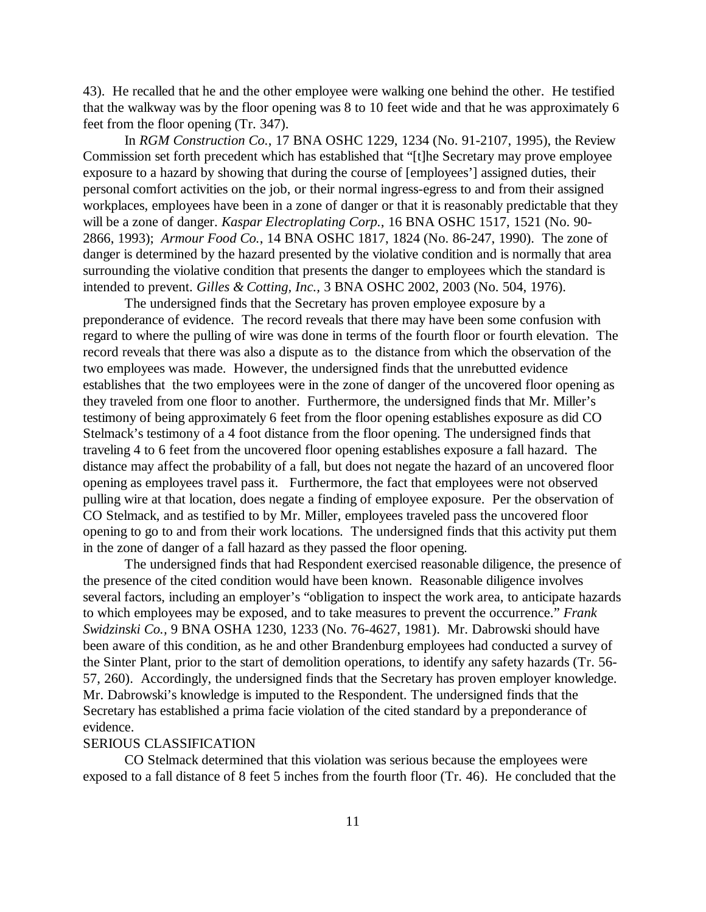43). He recalled that he and the other employee were walking one behind the other. He testified that the walkway was by the floor opening was 8 to 10 feet wide and that he was approximately 6 feet from the floor opening (Tr. 347).

In *RGM Construction Co.*, 17 BNA OSHC 1229, 1234 (No. 91-2107, 1995), the Review Commission set forth precedent which has established that "[t]he Secretary may prove employee exposure to a hazard by showing that during the course of [employees'] assigned duties, their personal comfort activities on the job, or their normal ingress-egress to and from their assigned workplaces, employees have been in a zone of danger or that it is reasonably predictable that they will be a zone of danger. *Kaspar Electroplating Corp.*, 16 BNA OSHC 1517, 1521 (No. 90- 2866, 1993); *Armour Food Co.*, 14 BNA OSHC 1817, 1824 (No. 86-247, 1990). The zone of danger is determined by the hazard presented by the violative condition and is normally that area surrounding the violative condition that presents the danger to employees which the standard is intended to prevent. *Gilles & Cotting, Inc.,* 3 BNA OSHC 2002, 2003 (No. 504, 1976).

The undersigned finds that the Secretary has proven employee exposure by a preponderance of evidence. The record reveals that there may have been some confusion with regard to where the pulling of wire was done in terms of the fourth floor or fourth elevation. The record reveals that there was also a dispute as to the distance from which the observation of the two employees was made. However, the undersigned finds that the unrebutted evidence establishes that the two employees were in the zone of danger of the uncovered floor opening as they traveled from one floor to another. Furthermore, the undersigned finds that Mr. Miller's testimony of being approximately 6 feet from the floor opening establishes exposure as did CO Stelmack's testimony of a 4 foot distance from the floor opening. The undersigned finds that traveling 4 to 6 feet from the uncovered floor opening establishes exposure a fall hazard. The distance may affect the probability of a fall, but does not negate the hazard of an uncovered floor opening as employees travel pass it. Furthermore, the fact that employees were not observed pulling wire at that location, does negate a finding of employee exposure. Per the observation of CO Stelmack, and as testified to by Mr. Miller, employees traveled pass the uncovered floor opening to go to and from their work locations. The undersigned finds that this activity put them in the zone of danger of a fall hazard as they passed the floor opening.

The undersigned finds that had Respondent exercised reasonable diligence, the presence of the presence of the cited condition would have been known. Reasonable diligence involves several factors, including an employer's "obligation to inspect the work area, to anticipate hazards to which employees may be exposed, and to take measures to prevent the occurrence." *Frank Swidzinski Co.,* 9 BNA OSHA 1230, 1233 (No. 76-4627, 1981). Mr. Dabrowski should have been aware of this condition, as he and other Brandenburg employees had conducted a survey of the Sinter Plant, prior to the start of demolition operations, to identify any safety hazards (Tr. 56- 57, 260). Accordingly, the undersigned finds that the Secretary has proven employer knowledge. Mr. Dabrowski's knowledge is imputed to the Respondent. The undersigned finds that the Secretary has established a prima facie violation of the cited standard by a preponderance of evidence.

#### SERIOUS CLASSIFICATION

CO Stelmack determined that this violation was serious because the employees were exposed to a fall distance of 8 feet 5 inches from the fourth floor (Tr. 46). He concluded that the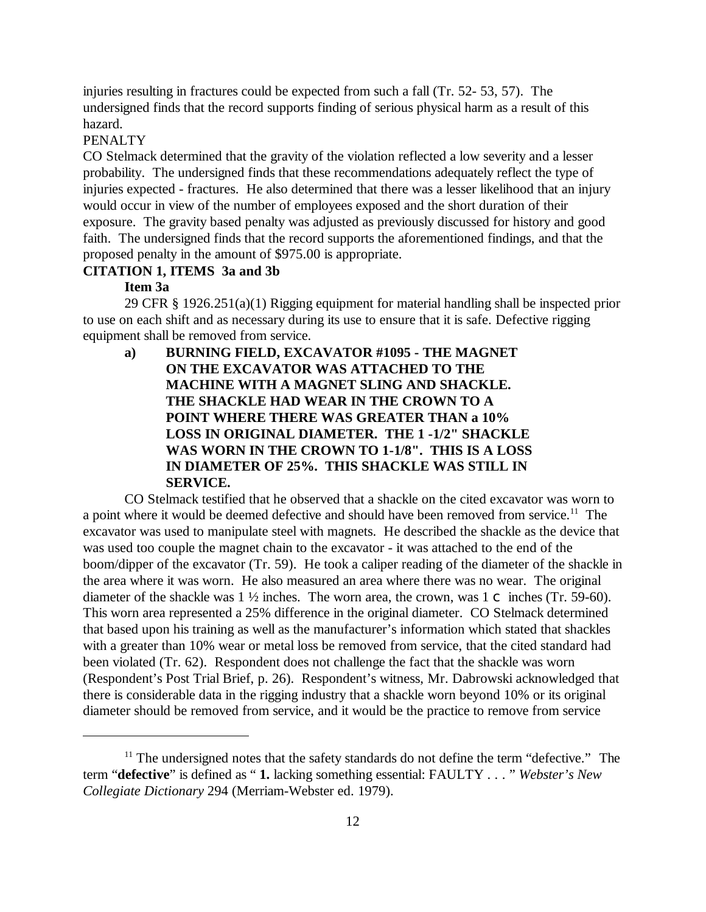injuries resulting in fractures could be expected from such a fall (Tr. 52- 53, 57). The undersigned finds that the record supports finding of serious physical harm as a result of this hazard.

# PENALTY

CO Stelmack determined that the gravity of the violation reflected a low severity and a lesser probability. The undersigned finds that these recommendations adequately reflect the type of injuries expected - fractures. He also determined that there was a lesser likelihood that an injury would occur in view of the number of employees exposed and the short duration of their exposure. The gravity based penalty was adjusted as previously discussed for history and good faith. The undersigned finds that the record supports the aforementioned findings, and that the proposed penalty in the amount of \$975.00 is appropriate.

## **CITATION 1, ITEMS 3a and 3b**

## **Item 3a**

29 CFR § 1926.251(a)(1) Rigging equipment for material handling shall be inspected prior to use on each shift and as necessary during its use to ensure that it is safe. Defective rigging equipment shall be removed from service.

**a) BURNING FIELD, EXCAVATOR #1095 - THE MAGNET ON THE EXCAVATOR WAS ATTACHED TO THE MACHINE WITH A MAGNET SLING AND SHACKLE. THE SHACKLE HAD WEAR IN THE CROWN TO A POINT WHERE THERE WAS GREATER THAN a 10% LOSS IN ORIGINAL DIAMETER. THE 1 -1/2" SHACKLE WAS WORN IN THE CROWN TO 1-1/8". THIS IS A LOSS IN DIAMETER OF 25%. THIS SHACKLE WAS STILL IN SERVICE.**

CO Stelmack testified that he observed that a shackle on the cited excavator was worn to a point where it would be deemed defective and should have been removed from service.<sup>11</sup> The excavator was used to manipulate steel with magnets. He described the shackle as the device that was used too couple the magnet chain to the excavator - it was attached to the end of the boom/dipper of the excavator (Tr. 59). He took a caliper reading of the diameter of the shackle in the area where it was worn. He also measured an area where there was no wear. The original diameter of the shackle was  $1 \frac{1}{2}$  inches. The worn area, the crown, was  $1 \text{ C}$  inches (Tr. 59-60). This worn area represented a 25% difference in the original diameter. CO Stelmack determined that based upon his training as well as the manufacturer's information which stated that shackles with a greater than 10% wear or metal loss be removed from service, that the cited standard had been violated (Tr. 62). Respondent does not challenge the fact that the shackle was worn (Respondent's Post Trial Brief, p. 26). Respondent's witness, Mr. Dabrowski acknowledged that there is considerable data in the rigging industry that a shackle worn beyond 10% or its original diameter should be removed from service, and it would be the practice to remove from service

<sup>&</sup>lt;sup>11</sup> The undersigned notes that the safety standards do not define the term "defective." The term "**defective**" is defined as " **1.** lacking something essential: FAULTY . . . " *Webster's New Collegiate Dictionary* 294 (Merriam-Webster ed. 1979).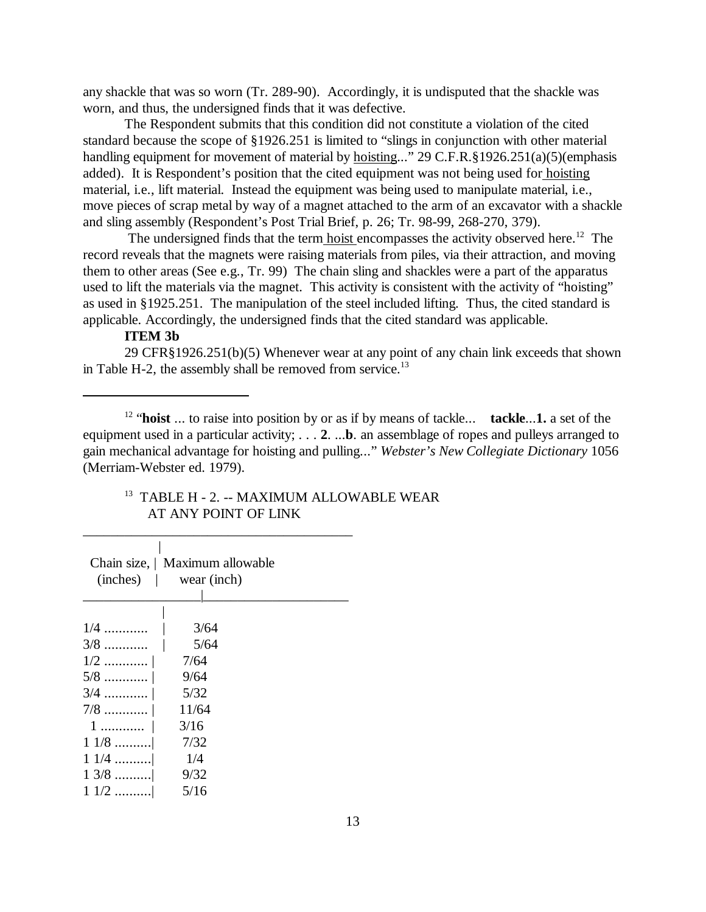any shackle that was so worn (Tr. 289-90). Accordingly, it is undisputed that the shackle was worn, and thus, the undersigned finds that it was defective.

The Respondent submits that this condition did not constitute a violation of the cited standard because the scope of §1926.251 is limited to "slings in conjunction with other material handling equipment for movement of material by hoisting..." 29 C.F.R.§1926.251(a)(5)(emphasis added). It is Respondent's position that the cited equipment was not being used for hoisting material, i.e., lift material. Instead the equipment was being used to manipulate material, i.e., move pieces of scrap metal by way of a magnet attached to the arm of an excavator with a shackle and sling assembly (Respondent's Post Trial Brief, p. 26; Tr. 98-99, 268-270, 379).

The undersigned finds that the term hoist encompasses the activity observed here.<sup>12</sup> The record reveals that the magnets were raising materials from piles, via their attraction, and moving them to other areas (See e.g., Tr. 99) The chain sling and shackles were a part of the apparatus used to lift the materials via the magnet. This activity is consistent with the activity of "hoisting" as used in §1925.251. The manipulation of the steel included lifting. Thus, the cited standard is applicable. Accordingly, the undersigned finds that the cited standard was applicable.

### **ITEM 3b**

29 CFR§1926.251(b)(5) Whenever wear at any point of any chain link exceeds that shown in Table H-2, the assembly shall be removed from service.<sup>13</sup>

<sup>12</sup> "**hoist** ... to raise into position by or as if by means of tackle... **tackle**...**1.** a set of the equipment used in a particular activity; . . . **2**. ...**b**. an assemblage of ropes and pulleys arranged to gain mechanical advantage for hoisting and pulling..." *Webster's New Collegiate Dictionary* 1056 (Merriam-Webster ed. 1979).

| Chain size,   Maximum allowable |                      |  |
|---------------------------------|----------------------|--|
|                                 | (inches) wear (inch) |  |
|                                 |                      |  |
|                                 |                      |  |
| $1/4$                           | 3/64                 |  |
| $3/8$                           | 5/64                 |  |
| $1/2$                           | 7/64                 |  |
| $5/8$                           | 9/64                 |  |
| $3/4$                           | 5/32                 |  |
|                                 | 11/64                |  |
| $1$                             | 3/16                 |  |
| $11/8$                          | 7/32                 |  |
| $11/4$                          | 1/4                  |  |
| $13/8$                          | 9/32                 |  |
| $11/2$                          | 5/16                 |  |

## <sup>13</sup> TABLE H - 2. -- MAXIMUM ALLOWABLE WEAR AT ANY POINT OF LINK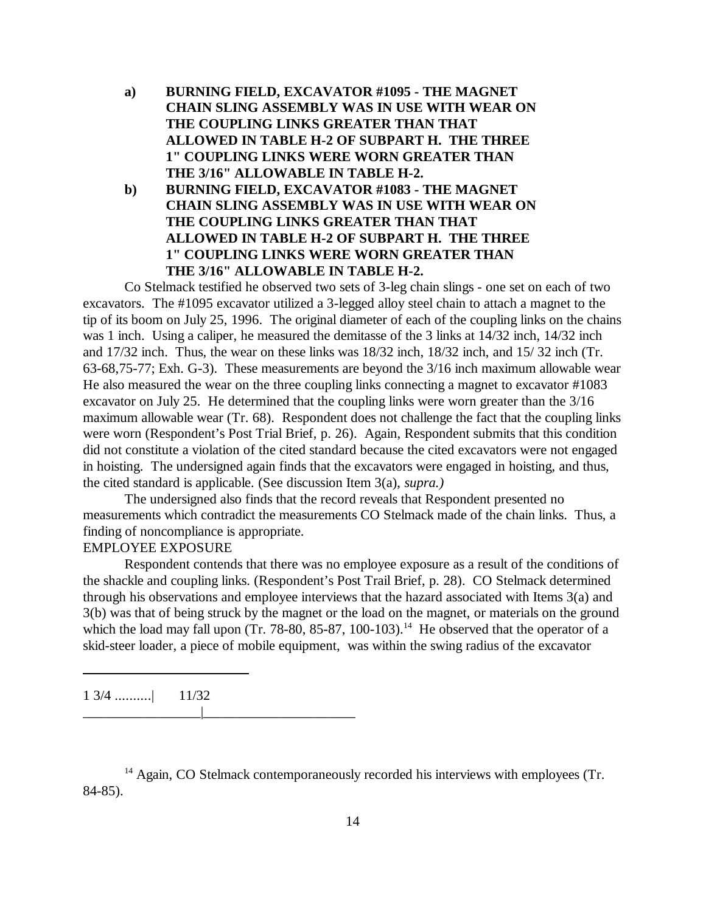- **a) BURNING FIELD, EXCAVATOR #1095 THE MAGNET CHAIN SLING ASSEMBLY WAS IN USE WITH WEAR ON THE COUPLING LINKS GREATER THAN THAT ALLOWED IN TABLE H-2 OF SUBPART H. THE THREE 1" COUPLING LINKS WERE WORN GREATER THAN THE 3/16" ALLOWABLE IN TABLE H-2.**
- **b) BURNING FIELD, EXCAVATOR #1083 THE MAGNET CHAIN SLING ASSEMBLY WAS IN USE WITH WEAR ON THE COUPLING LINKS GREATER THAN THAT ALLOWED IN TABLE H-2 OF SUBPART H. THE THREE 1" COUPLING LINKS WERE WORN GREATER THAN THE 3/16" ALLOWABLE IN TABLE H-2.**

Co Stelmack testified he observed two sets of 3-leg chain slings - one set on each of two excavators. The #1095 excavator utilized a 3-legged alloy steel chain to attach a magnet to the tip of its boom on July 25, 1996. The original diameter of each of the coupling links on the chains was 1 inch. Using a caliper, he measured the demitasse of the 3 links at 14/32 inch, 14/32 inch and 17/32 inch. Thus, the wear on these links was 18/32 inch, 18/32 inch, and 15/ 32 inch (Tr. 63-68,75-77; Exh. G-3). These measurements are beyond the 3/16 inch maximum allowable wear He also measured the wear on the three coupling links connecting a magnet to excavator #1083 excavator on July 25. He determined that the coupling links were worn greater than the 3/16 maximum allowable wear (Tr. 68). Respondent does not challenge the fact that the coupling links were worn (Respondent's Post Trial Brief, p. 26). Again, Respondent submits that this condition did not constitute a violation of the cited standard because the cited excavators were not engaged in hoisting. The undersigned again finds that the excavators were engaged in hoisting, and thus, the cited standard is applicable. (See discussion Item 3(a), *supra.)* 

The undersigned also finds that the record reveals that Respondent presented no measurements which contradict the measurements CO Stelmack made of the chain links. Thus, a finding of noncompliance is appropriate.

# EMPLOYEE EXPOSURE

Respondent contends that there was no employee exposure as a result of the conditions of the shackle and coupling links. (Respondent's Post Trail Brief, p. 28). CO Stelmack determined through his observations and employee interviews that the hazard associated with Items 3(a) and 3(b) was that of being struck by the magnet or the load on the magnet, or materials on the ground which the load may fall upon (Tr. 78-80, 85-87, 100-103).<sup>14</sup> He observed that the operator of a skid-steer loader, a piece of mobile equipment, was within the swing radius of the excavator

1 3/4 ..........| 11/32 \_\_\_\_\_\_\_\_\_\_\_\_\_\_\_\_\_|\_\_\_\_\_\_\_\_\_\_\_\_\_\_\_\_\_\_\_\_\_\_

 $14$  Again, CO Stelmack contemporaneously recorded his interviews with employees (Tr. 84-85).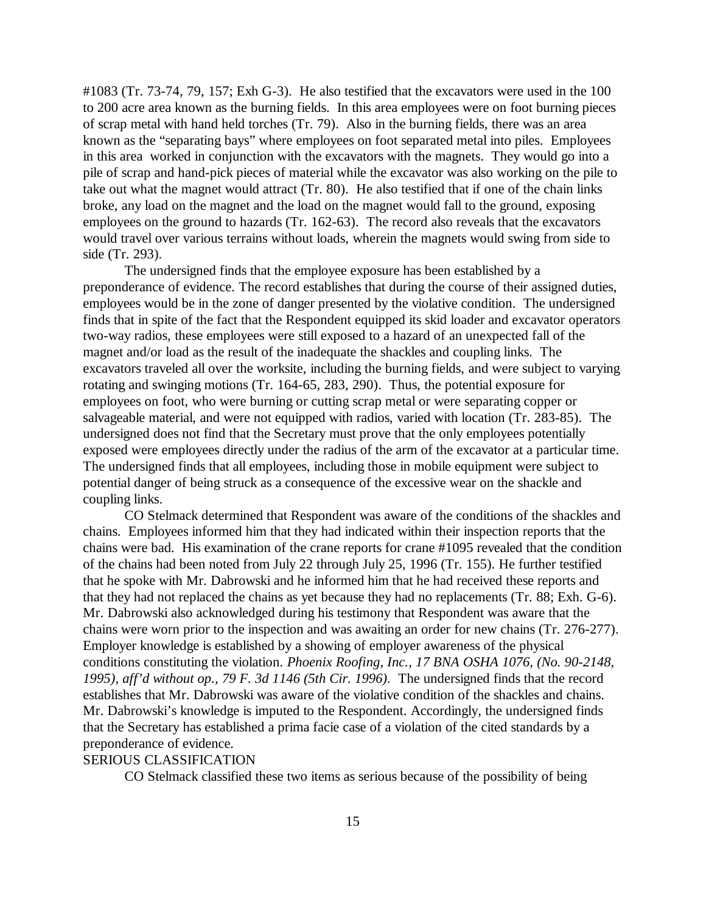#1083 (Tr. 73-74, 79, 157; Exh G-3). He also testified that the excavators were used in the 100 to 200 acre area known as the burning fields. In this area employees were on foot burning pieces of scrap metal with hand held torches (Tr. 79). Also in the burning fields, there was an area known as the "separating bays" where employees on foot separated metal into piles. Employees in this area worked in conjunction with the excavators with the magnets. They would go into a pile of scrap and hand-pick pieces of material while the excavator was also working on the pile to take out what the magnet would attract (Tr. 80). He also testified that if one of the chain links broke, any load on the magnet and the load on the magnet would fall to the ground, exposing employees on the ground to hazards (Tr. 162-63). The record also reveals that the excavators would travel over various terrains without loads, wherein the magnets would swing from side to side (Tr. 293).

The undersigned finds that the employee exposure has been established by a preponderance of evidence. The record establishes that during the course of their assigned duties, employees would be in the zone of danger presented by the violative condition. The undersigned finds that in spite of the fact that the Respondent equipped its skid loader and excavator operators two-way radios, these employees were still exposed to a hazard of an unexpected fall of the magnet and/or load as the result of the inadequate the shackles and coupling links. The excavators traveled all over the worksite, including the burning fields, and were subject to varying rotating and swinging motions (Tr. 164-65, 283, 290). Thus, the potential exposure for employees on foot, who were burning or cutting scrap metal or were separating copper or salvageable material, and were not equipped with radios, varied with location (Tr. 283-85). The undersigned does not find that the Secretary must prove that the only employees potentially exposed were employees directly under the radius of the arm of the excavator at a particular time. The undersigned finds that all employees, including those in mobile equipment were subject to potential danger of being struck as a consequence of the excessive wear on the shackle and coupling links.

CO Stelmack determined that Respondent was aware of the conditions of the shackles and chains. Employees informed him that they had indicated within their inspection reports that the chains were bad. His examination of the crane reports for crane #1095 revealed that the condition of the chains had been noted from July 22 through July 25, 1996 (Tr. 155). He further testified that he spoke with Mr. Dabrowski and he informed him that he had received these reports and that they had not replaced the chains as yet because they had no replacements (Tr. 88; Exh. G-6). Mr. Dabrowski also acknowledged during his testimony that Respondent was aware that the chains were worn prior to the inspection and was awaiting an order for new chains (Tr. 276-277). Employer knowledge is established by a showing of employer awareness of the physical conditions constituting the violation. *Phoenix Roofing, Inc., 17 BNA OSHA 1076, (No. 90-2148, 1995), aff'd without op., 79 F. 3d 1146 (5th Cir. 1996).* The undersigned finds that the record establishes that Mr. Dabrowski was aware of the violative condition of the shackles and chains. Mr. Dabrowski's knowledge is imputed to the Respondent. Accordingly, the undersigned finds that the Secretary has established a prima facie case of a violation of the cited standards by a preponderance of evidence.

## SERIOUS CLASSIFICATION

CO Stelmack classified these two items as serious because of the possibility of being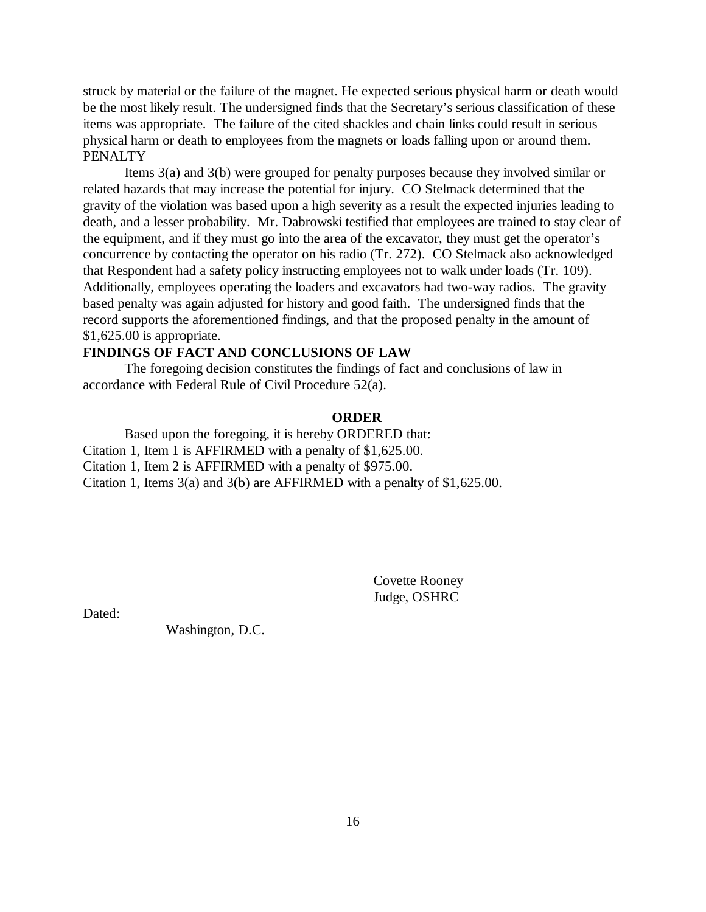struck by material or the failure of the magnet. He expected serious physical harm or death would be the most likely result. The undersigned finds that the Secretary's serious classification of these items was appropriate. The failure of the cited shackles and chain links could result in serious physical harm or death to employees from the magnets or loads falling upon or around them. **PENALTY** 

Items 3(a) and 3(b) were grouped for penalty purposes because they involved similar or related hazards that may increase the potential for injury. CO Stelmack determined that the gravity of the violation was based upon a high severity as a result the expected injuries leading to death, and a lesser probability. Mr. Dabrowski testified that employees are trained to stay clear of the equipment, and if they must go into the area of the excavator, they must get the operator's concurrence by contacting the operator on his radio (Tr. 272). CO Stelmack also acknowledged that Respondent had a safety policy instructing employees not to walk under loads (Tr. 109). Additionally, employees operating the loaders and excavators had two-way radios. The gravity based penalty was again adjusted for history and good faith. The undersigned finds that the record supports the aforementioned findings, and that the proposed penalty in the amount of \$1,625.00 is appropriate.

## **FINDINGS OF FACT AND CONCLUSIONS OF LAW**

The foregoing decision constitutes the findings of fact and conclusions of law in accordance with Federal Rule of Civil Procedure 52(a).

#### **ORDER**

Based upon the foregoing, it is hereby ORDERED that: Citation 1, Item 1 is AFFIRMED with a penalty of \$1,625.00. Citation 1, Item 2 is AFFIRMED with a penalty of \$975.00. Citation 1, Items 3(a) and 3(b) are AFFIRMED with a penalty of \$1,625.00.

> Covette Rooney Judge, OSHRC

Dated:

Washington, D.C.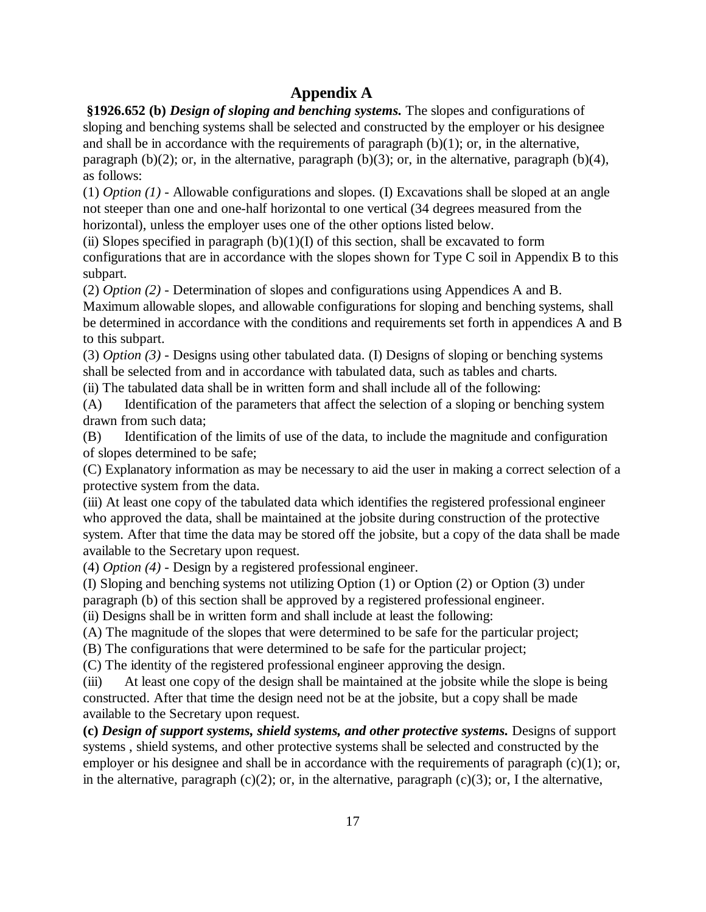# **Appendix A**

**§1926.652 (b)** *Design of sloping and benching systems.* The slopes and configurations of sloping and benching systems shall be selected and constructed by the employer or his designee and shall be in accordance with the requirements of paragraph  $(b)(1)$ ; or, in the alternative, paragraph (b)(2); or, in the alternative, paragraph (b)(3); or, in the alternative, paragraph (b)(4), as follows:

(1) *Option (1)* - Allowable configurations and slopes. (I) Excavations shall be sloped at an angle not steeper than one and one-half horizontal to one vertical (34 degrees measured from the horizontal), unless the employer uses one of the other options listed below.

(ii) Slopes specified in paragraph  $(b)(1)(I)$  of this section, shall be excavated to form configurations that are in accordance with the slopes shown for Type C soil in Appendix B to this subpart.

(2) *Option (2)* - Determination of slopes and configurations using Appendices A and B.

Maximum allowable slopes, and allowable configurations for sloping and benching systems, shall be determined in accordance with the conditions and requirements set forth in appendices A and B to this subpart.

(3) *Option (3)* - Designs using other tabulated data. (I) Designs of sloping or benching systems shall be selected from and in accordance with tabulated data, such as tables and charts.

(ii) The tabulated data shall be in written form and shall include all of the following:

(A) Identification of the parameters that affect the selection of a sloping or benching system drawn from such data;

(B) Identification of the limits of use of the data, to include the magnitude and configuration of slopes determined to be safe;

(C) Explanatory information as may be necessary to aid the user in making a correct selection of a protective system from the data.

(iii) At least one copy of the tabulated data which identifies the registered professional engineer who approved the data, shall be maintained at the jobsite during construction of the protective system. After that time the data may be stored off the jobsite, but a copy of the data shall be made available to the Secretary upon request.

(4) *Option (4)* - Design by a registered professional engineer.

(I) Sloping and benching systems not utilizing Option (1) or Option (2) or Option (3) under paragraph (b) of this section shall be approved by a registered professional engineer.

(ii) Designs shall be in written form and shall include at least the following:

(A) The magnitude of the slopes that were determined to be safe for the particular project;

(B) The configurations that were determined to be safe for the particular project;

(C) The identity of the registered professional engineer approving the design.

(iii) At least one copy of the design shall be maintained at the jobsite while the slope is being constructed. After that time the design need not be at the jobsite, but a copy shall be made available to the Secretary upon request.

**(c)** *Design of support systems, shield systems, and other protective systems.* Designs of support systems , shield systems, and other protective systems shall be selected and constructed by the employer or his designee and shall be in accordance with the requirements of paragraph  $(c)(1)$ ; or, in the alternative, paragraph  $(c)(2)$ ; or, in the alternative, paragraph  $(c)(3)$ ; or, I the alternative,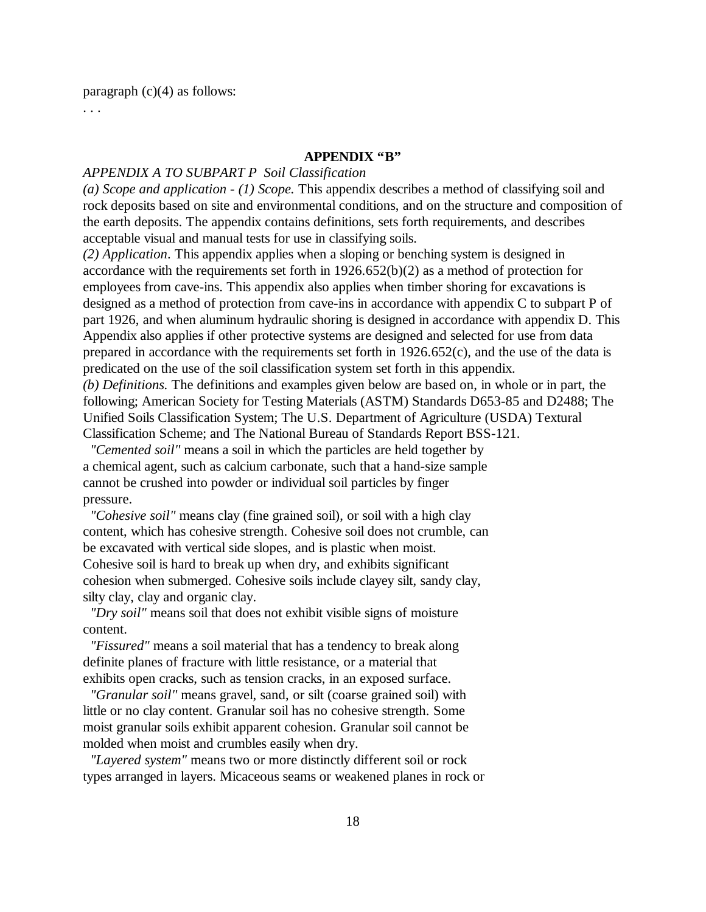. . .

#### **APPENDIX "B"**

#### *APPENDIX A TO SUBPART P Soil Classification*

*(a) Scope and application - (1) Scope.* This appendix describes a method of classifying soil and rock deposits based on site and environmental conditions, and on the structure and composition of the earth deposits. The appendix contains definitions, sets forth requirements, and describes acceptable visual and manual tests for use in classifying soils.

*(2) Application*. This appendix applies when a sloping or benching system is designed in accordance with the requirements set forth in 1926.652(b)(2) as a method of protection for employees from cave-ins. This appendix also applies when timber shoring for excavations is designed as a method of protection from cave-ins in accordance with appendix C to subpart P of part 1926, and when aluminum hydraulic shoring is designed in accordance with appendix D. This Appendix also applies if other protective systems are designed and selected for use from data prepared in accordance with the requirements set forth in 1926.652(c), and the use of the data is predicated on the use of the soil classification system set forth in this appendix. *(b) Definitions.* The definitions and examples given below are based on, in whole or in part, the following; American Society for Testing Materials (ASTM) Standards D653-85 and D2488; The Unified Soils Classification System; The U.S. Department of Agriculture (USDA) Textural

Classification Scheme; and The National Bureau of Standards Report BSS-121.  *"Cemented soil"* means a soil in which the particles are held together by a chemical agent, such as calcium carbonate, such that a hand-size sample cannot be crushed into powder or individual soil particles by finger pressure.

 *"Cohesive soil"* means clay (fine grained soil), or soil with a high clay content, which has cohesive strength. Cohesive soil does not crumble, can be excavated with vertical side slopes, and is plastic when moist. Cohesive soil is hard to break up when dry, and exhibits significant cohesion when submerged. Cohesive soils include clayey silt, sandy clay, silty clay, clay and organic clay.

 *"Dry soil"* means soil that does not exhibit visible signs of moisture content.

 *"Fissured"* means a soil material that has a tendency to break along definite planes of fracture with little resistance, or a material that exhibits open cracks, such as tension cracks, in an exposed surface.

 *"Granular soil"* means gravel, sand, or silt (coarse grained soil) with little or no clay content. Granular soil has no cohesive strength. Some moist granular soils exhibit apparent cohesion. Granular soil cannot be molded when moist and crumbles easily when dry.

 *"Layered system"* means two or more distinctly different soil or rock types arranged in layers. Micaceous seams or weakened planes in rock or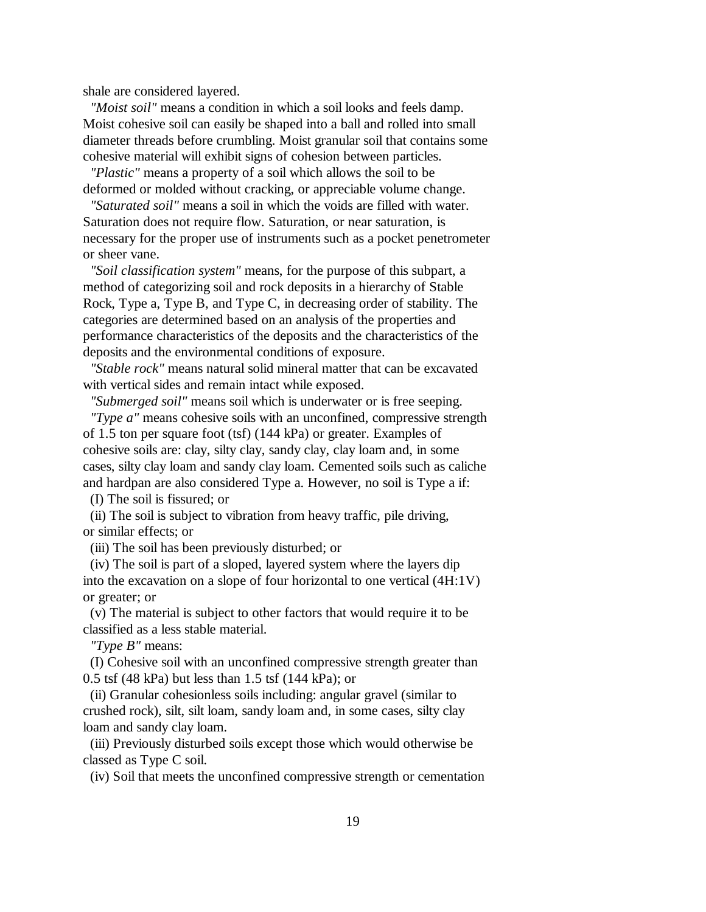shale are considered layered.

 *"Moist soil"* means a condition in which a soil looks and feels damp. Moist cohesive soil can easily be shaped into a ball and rolled into small diameter threads before crumbling. Moist granular soil that contains some cohesive material will exhibit signs of cohesion between particles.

 *"Plastic"* means a property of a soil which allows the soil to be deformed or molded without cracking, or appreciable volume change.

 *"Saturated soil"* means a soil in which the voids are filled with water. Saturation does not require flow. Saturation, or near saturation, is necessary for the proper use of instruments such as a pocket penetrometer or sheer vane.

 *"Soil classification system"* means, for the purpose of this subpart, a method of categorizing soil and rock deposits in a hierarchy of Stable Rock, Type a, Type B, and Type C, in decreasing order of stability. The categories are determined based on an analysis of the properties and performance characteristics of the deposits and the characteristics of the deposits and the environmental conditions of exposure.

 *"Stable rock"* means natural solid mineral matter that can be excavated with vertical sides and remain intact while exposed.

*"Submerged soil"* means soil which is underwater or is free seeping.

 *"Type a"* means cohesive soils with an unconfined, compressive strength of 1.5 ton per square foot (tsf) (144 kPa) or greater. Examples of cohesive soils are: clay, silty clay, sandy clay, clay loam and, in some cases, silty clay loam and sandy clay loam. Cemented soils such as caliche and hardpan are also considered Type a. However, no soil is Type a if:

(I) The soil is fissured; or

 (ii) The soil is subject to vibration from heavy traffic, pile driving, or similar effects; or

(iii) The soil has been previously disturbed; or

 (iv) The soil is part of a sloped, layered system where the layers dip into the excavation on a slope of four horizontal to one vertical (4H:1V) or greater; or

 (v) The material is subject to other factors that would require it to be classified as a less stable material.

 *"Type B"* means:

 (I) Cohesive soil with an unconfined compressive strength greater than 0.5 tsf (48 kPa) but less than 1.5 tsf (144 kPa); or

 (ii) Granular cohesionless soils including: angular gravel (similar to crushed rock), silt, silt loam, sandy loam and, in some cases, silty clay loam and sandy clay loam.

 (iii) Previously disturbed soils except those which would otherwise be classed as Type C soil.

(iv) Soil that meets the unconfined compressive strength or cementation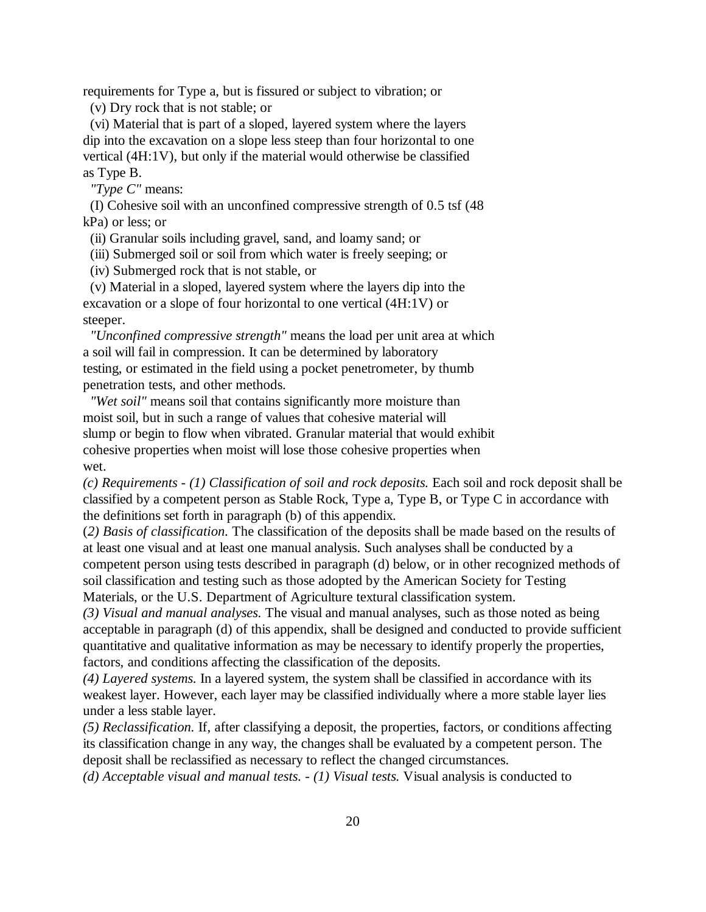requirements for Type a, but is fissured or subject to vibration; or (v) Dry rock that is not stable; or

 (vi) Material that is part of a sloped, layered system where the layers dip into the excavation on a slope less steep than four horizontal to one vertical (4H:1V), but only if the material would otherwise be classified as Type B.

*"Type C"* means:

 (I) Cohesive soil with an unconfined compressive strength of 0.5 tsf (48 kPa) or less; or

(ii) Granular soils including gravel, sand, and loamy sand; or

(iii) Submerged soil or soil from which water is freely seeping; or

(iv) Submerged rock that is not stable, or

 (v) Material in a sloped, layered system where the layers dip into the excavation or a slope of four horizontal to one vertical (4H:1V) or steeper.

 *"Unconfined compressive strength"* means the load per unit area at which a soil will fail in compression. It can be determined by laboratory testing, or estimated in the field using a pocket penetrometer, by thumb penetration tests, and other methods.

 *"Wet soil"* means soil that contains significantly more moisture than moist soil, but in such a range of values that cohesive material will slump or begin to flow when vibrated. Granular material that would exhibit cohesive properties when moist will lose those cohesive properties when wet.

*(c) Requirements - (1) Classification of soil and rock deposits.* Each soil and rock deposit shall be classified by a competent person as Stable Rock, Type a, Type B, or Type C in accordance with the definitions set forth in paragraph (b) of this appendix.

(*2) Basis of classification.* The classification of the deposits shall be made based on the results of at least one visual and at least one manual analysis. Such analyses shall be conducted by a competent person using tests described in paragraph (d) below, or in other recognized methods of soil classification and testing such as those adopted by the American Society for Testing Materials, or the U.S. Department of Agriculture textural classification system.

*(3) Visual and manual analyses.* The visual and manual analyses, such as those noted as being acceptable in paragraph (d) of this appendix, shall be designed and conducted to provide sufficient quantitative and qualitative information as may be necessary to identify properly the properties, factors, and conditions affecting the classification of the deposits.

*(4) Layered systems.* In a layered system, the system shall be classified in accordance with its weakest layer. However, each layer may be classified individually where a more stable layer lies under a less stable layer.

*(5) Reclassification.* If, after classifying a deposit, the properties, factors, or conditions affecting its classification change in any way, the changes shall be evaluated by a competent person. The deposit shall be reclassified as necessary to reflect the changed circumstances.

*(d) Acceptable visual and manual tests. - (1) Visual tests.* Visual analysis is conducted to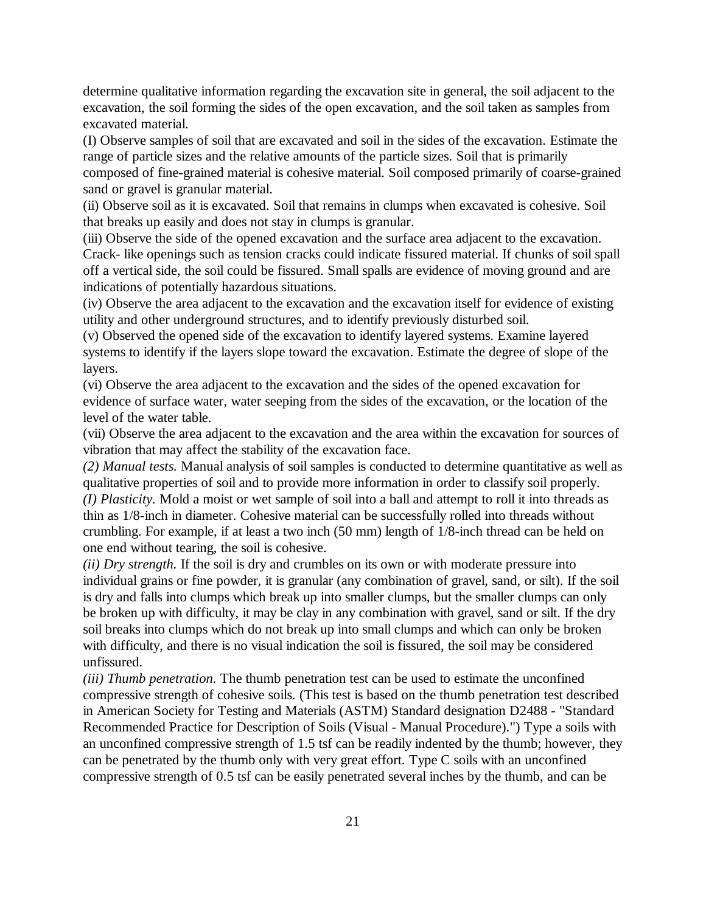determine qualitative information regarding the excavation site in general, the soil adjacent to the excavation, the soil forming the sides of the open excavation, and the soil taken as samples from excavated material.

(I) Observe samples of soil that are excavated and soil in the sides of the excavation. Estimate the range of particle sizes and the relative amounts of the particle sizes. Soil that is primarily composed of fine-grained material is cohesive material. Soil composed primarily of coarse-grained sand or gravel is granular material.

(ii) Observe soil as it is excavated. Soil that remains in clumps when excavated is cohesive. Soil that breaks up easily and does not stay in clumps is granular.

(iii) Observe the side of the opened excavation and the surface area adjacent to the excavation. Crack- like openings such as tension cracks could indicate fissured material. If chunks of soil spall off a vertical side, the soil could be fissured. Small spalls are evidence of moving ground and are indications of potentially hazardous situations.

(iv) Observe the area adjacent to the excavation and the excavation itself for evidence of existing utility and other underground structures, and to identify previously disturbed soil.

(v) Observed the opened side of the excavation to identify layered systems. Examine layered systems to identify if the layers slope toward the excavation. Estimate the degree of slope of the layers.

(vi) Observe the area adjacent to the excavation and the sides of the opened excavation for evidence of surface water, water seeping from the sides of the excavation, or the location of the level of the water table.

(vii) Observe the area adjacent to the excavation and the area within the excavation for sources of vibration that may affect the stability of the excavation face.

*(2) Manual tests.* Manual analysis of soil samples is conducted to determine quantitative as well as qualitative properties of soil and to provide more information in order to classify soil properly.

*(I) Plasticity.* Mold a moist or wet sample of soil into a ball and attempt to roll it into threads as thin as 1/8-inch in diameter. Cohesive material can be successfully rolled into threads without crumbling. For example, if at least a two inch (50 mm) length of 1/8-inch thread can be held on one end without tearing, the soil is cohesive.

*(ii) Dry strength.* If the soil is dry and crumbles on its own or with moderate pressure into individual grains or fine powder, it is granular (any combination of gravel, sand, or silt). If the soil is dry and falls into clumps which break up into smaller clumps, but the smaller clumps can only be broken up with difficulty, it may be clay in any combination with gravel, sand or silt. If the dry soil breaks into clumps which do not break up into small clumps and which can only be broken with difficulty, and there is no visual indication the soil is fissured, the soil may be considered unfissured.

*(iii) Thumb penetration.* The thumb penetration test can be used to estimate the unconfined compressive strength of cohesive soils. (This test is based on the thumb penetration test described in American Society for Testing and Materials (ASTM) Standard designation D2488 - "Standard Recommended Practice for Description of Soils (Visual - Manual Procedure).") Type a soils with an unconfined compressive strength of 1.5 tsf can be readily indented by the thumb; however, they can be penetrated by the thumb only with very great effort. Type C soils with an unconfined compressive strength of 0.5 tsf can be easily penetrated several inches by the thumb, and can be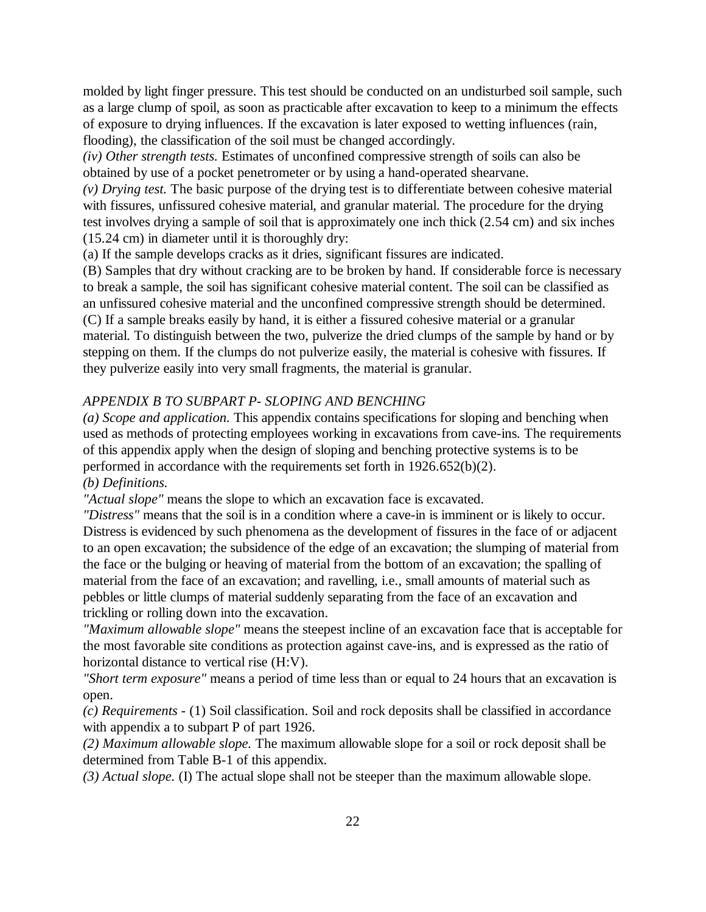molded by light finger pressure. This test should be conducted on an undisturbed soil sample, such as a large clump of spoil, as soon as practicable after excavation to keep to a minimum the effects of exposure to drying influences. If the excavation is later exposed to wetting influences (rain, flooding), the classification of the soil must be changed accordingly.

*(iv) Other strength tests.* Estimates of unconfined compressive strength of soils can also be obtained by use of a pocket penetrometer or by using a hand-operated shearvane.

*(v) Drying test.* The basic purpose of the drying test is to differentiate between cohesive material with fissures, unfissured cohesive material, and granular material. The procedure for the drying test involves drying a sample of soil that is approximately one inch thick (2.54 cm) and six inches (15.24 cm) in diameter until it is thoroughly dry:

(a) If the sample develops cracks as it dries, significant fissures are indicated.

(B) Samples that dry without cracking are to be broken by hand. If considerable force is necessary to break a sample, the soil has significant cohesive material content. The soil can be classified as an unfissured cohesive material and the unconfined compressive strength should be determined. (C) If a sample breaks easily by hand, it is either a fissured cohesive material or a granular material. To distinguish between the two, pulverize the dried clumps of the sample by hand or by stepping on them. If the clumps do not pulverize easily, the material is cohesive with fissures. If they pulverize easily into very small fragments, the material is granular.

#### *APPENDIX B TO SUBPART P- SLOPING AND BENCHING*

*(a) Scope and application.* This appendix contains specifications for sloping and benching when used as methods of protecting employees working in excavations from cave-ins. The requirements of this appendix apply when the design of sloping and benching protective systems is to be performed in accordance with the requirements set forth in 1926.652(b)(2).

*(b) Definitions.*

*"Actual slope"* means the slope to which an excavation face is excavated.

*"Distress"* means that the soil is in a condition where a cave-in is imminent or is likely to occur. Distress is evidenced by such phenomena as the development of fissures in the face of or adjacent to an open excavation; the subsidence of the edge of an excavation; the slumping of material from the face or the bulging or heaving of material from the bottom of an excavation; the spalling of material from the face of an excavation; and ravelling, i.e., small amounts of material such as pebbles or little clumps of material suddenly separating from the face of an excavation and trickling or rolling down into the excavation.

*"Maximum allowable slope"* means the steepest incline of an excavation face that is acceptable for the most favorable site conditions as protection against cave-ins, and is expressed as the ratio of horizontal distance to vertical rise (H:V).

*"Short term exposure"* means a period of time less than or equal to 24 hours that an excavation is open.

*(c) Requirements* - (1) Soil classification. Soil and rock deposits shall be classified in accordance with appendix a to subpart P of part 1926.

*(2) Maximum allowable slope.* The maximum allowable slope for a soil or rock deposit shall be determined from Table B-1 of this appendix.

*(3) Actual slope.* (I) The actual slope shall not be steeper than the maximum allowable slope.